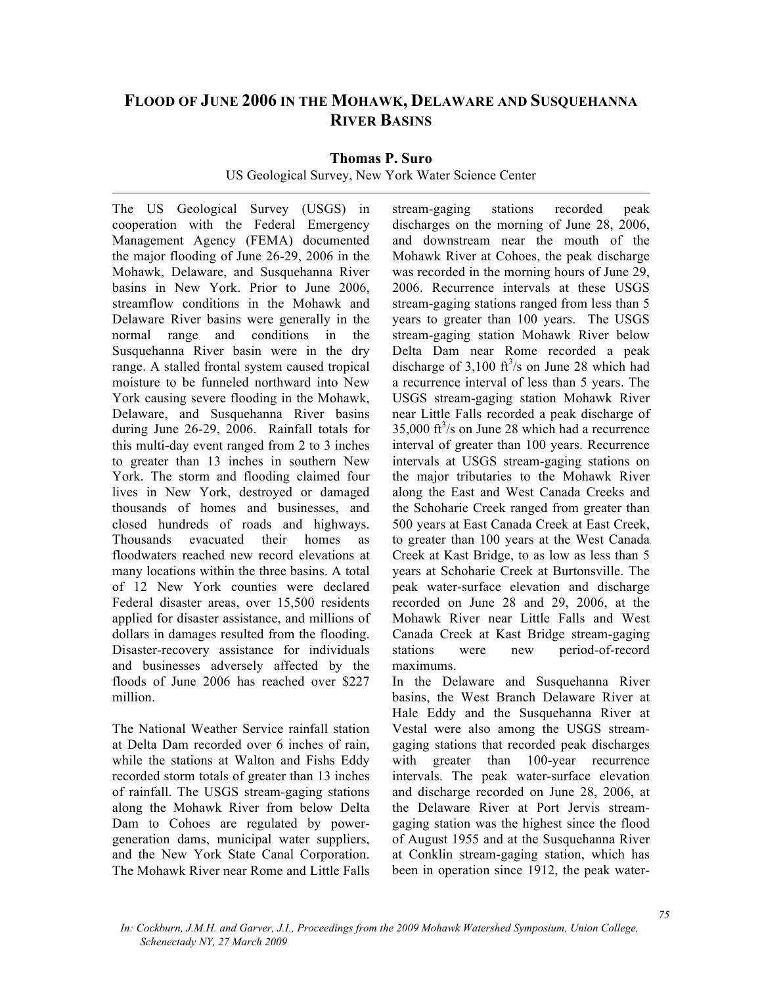## **FLOOD OF JUNE 2006 IN THE MOHAWK, DELAWARE AND SUSQUEHANNA RIVER BASINS**

**Thomas P. Suro**

US Geological Survey, New York Water Science Center

The US Geological Survey (USGS) in cooperation with the Federal Emergency Management Agency (FEMA) documented the major flooding of June 26-29, 2006 in the Mohawk, Delaware, and Susquehanna River basins in New York. Prior to June 2006, streamflow conditions in the Mohawk and Delaware River basins were generally in the normal range and conditions in the Susquehanna River basin were in the dry range. A stalled frontal system caused tropical moisture to be funneled northward into New York causing severe flooding in the Mohawk, Delaware, and Susquehanna River basins during June 26-29, 2006. Rainfall totals for this multi-day event ranged from 2 to 3 inches to greater than 13 inches in southern New York. The storm and flooding claimed four lives in New York, destroyed or damaged thousands of homes and businesses, and closed hundreds of roads and highways. Thousands evacuated their homes as floodwaters reached new record elevations at many locations within the three basins. A total of 12 New York counties were declared Federal disaster areas, over 15,500 residents applied for disaster assistance, and millions of dollars in damages resulted from the flooding. Disaster-recovery assistance for individuals and businesses adversely affected by the floods of June 2006 has reached over \$227 million.

The National Weather Service rainfall station at Delta Dam recorded over 6 inches of rain, while the stations at Walton and Fishs Eddy recorded storm totals of greater than 13 inches of rainfall. The USGS stream-gaging stations along the Mohawk River from below Delta Dam to Cohoes are regulated by powergeneration dams, municipal water suppliers, and the New York State Canal Corporation. The Mohawk River near Rome and Little Falls

stream-gaging stations recorded peak discharges on the morning of June 28, 2006, and downstream near the mouth of the Mohawk River at Cohoes, the peak discharge was recorded in the morning hours of June 29, 2006. Recurrence intervals at these USGS stream-gaging stations ranged from less than 5 years to greater than 100 years. The USGS stream-gaging station Mohawk River below Delta Dam near Rome recorded a peak discharge of  $3,100 \text{ ft}^3/\text{s}$  on June 28 which had a recurrence interval of less than 5 years. The USGS stream-gaging station Mohawk River near Little Falls recorded a peak discharge of  $35,000$  ft<sup>3</sup>/s on June 28 which had a recurrence interval of greater than 100 years. Recurrence intervals at USGS stream-gaging stations on the major tributaries to the Mohawk River along the East and West Canada Creeks and the Schoharie Creek ranged from greater than 500 years at East Canada Creek at East Creek, to greater than 100 years at the West Canada Creek at Kast Bridge, to as low as less than 5 years at Schoharie Creek at Burtonsville. The peak water-surface elevation and discharge recorded on June 28 and 29, 2006, at the Mohawk River near Little Falls and West Canada Creek at Kast Bridge stream-gaging stations were new period-of-record maximums.

In the Delaware and Susquehanna River basins, the West Branch Delaware River at Hale Eddy and the Susquehanna River at Vestal were also among the USGS streamgaging stations that recorded peak discharges with greater than 100-year recurrence intervals. The peak water-surface elevation and discharge recorded on June 28, 2006, at the Delaware River at Port Jervis streamgaging station was the highest since the flood of August 1955 and at the Susquehanna River at Conklin stream-gaging station, which has been in operation since 1912, the peak water-